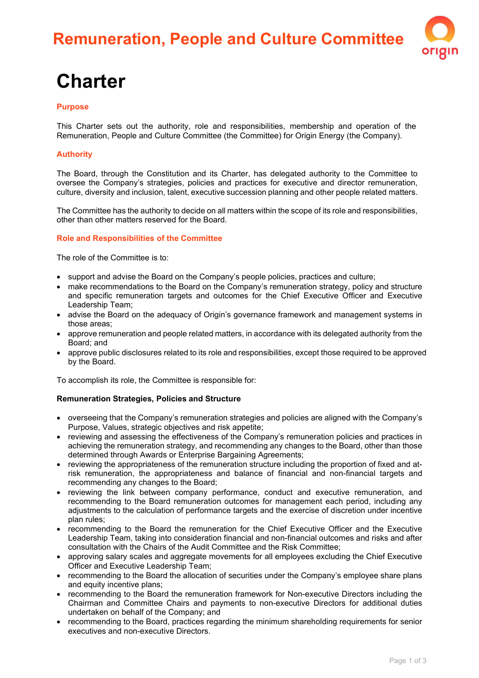# **Remuneration, People and Culture Committee**



# **Charter**

### **Purpose**

This Charter sets out the authority, role and responsibilities, membership and operation of the Remuneration, People and Culture Committee (the Committee) for Origin Energy (the Company).

### **Authority**

The Board, through the Constitution and its Charter, has delegated authority to the Committee to oversee the Company's strategies, policies and practices for executive and director remuneration, culture, diversity and inclusion, talent, executive succession planning and other people related matters.

The Committee has the authority to decide on all matters within the scope of its role and responsibilities, other than other matters reserved for the Board.

#### **Role and Responsibilities of the Committee**

The role of the Committee is to:

- support and advise the Board on the Company's people policies, practices and culture;
- make recommendations to the Board on the Company's remuneration strategy, policy and structure and specific remuneration targets and outcomes for the Chief Executive Officer and Executive Leadership Team;
- advise the Board on the adequacy of Origin's governance framework and management systems in those areas;
- approve remuneration and people related matters, in accordance with its delegated authority from the Board; and
- approve public disclosures related to its role and responsibilities, except those required to be approved by the Board.

To accomplish its role, the Committee is responsible for:

#### **Remuneration Strategies, Policies and Structure**

- overseeing that the Company's remuneration strategies and policies are aligned with the Company's Purpose, Values, strategic objectives and risk appetite;
- reviewing and assessing the effectiveness of the Company's remuneration policies and practices in achieving the remuneration strategy, and recommending any changes to the Board, other than those determined through Awards or Enterprise Bargaining Agreements;
- reviewing the appropriateness of the remuneration structure including the proportion of fixed and atrisk remuneration, the appropriateness and balance of financial and non-financial targets and recommending any changes to the Board;
- reviewing the link between company performance, conduct and executive remuneration, and recommending to the Board remuneration outcomes for management each period, including any adjustments to the calculation of performance targets and the exercise of discretion under incentive plan rules;
- recommending to the Board the remuneration for the Chief Executive Officer and the Executive Leadership Team, taking into consideration financial and non-financial outcomes and risks and after consultation with the Chairs of the Audit Committee and the Risk Committee;
- approving salary scales and aggregate movements for all employees excluding the Chief Executive Officer and Executive Leadership Team;
- recommending to the Board the allocation of securities under the Company's employee share plans and equity incentive plans;
- recommending to the Board the remuneration framework for Non-executive Directors including the Chairman and Committee Chairs and payments to non-executive Directors for additional duties undertaken on behalf of the Company; and
- recommending to the Board, practices regarding the minimum shareholding requirements for senior executives and non-executive Directors.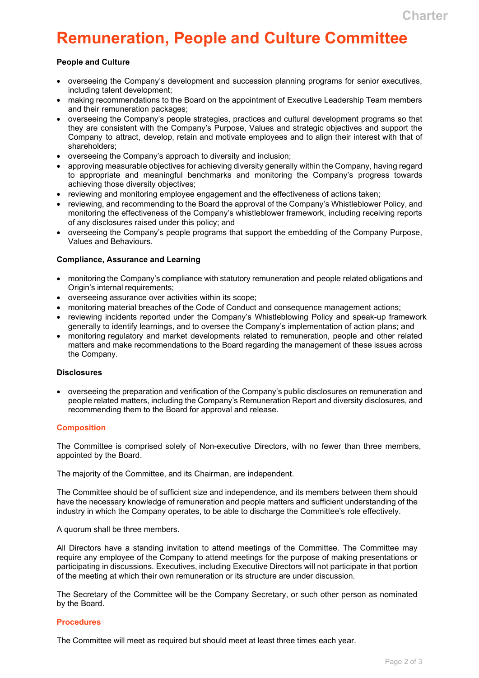# **Remuneration, People and Culture Committee**

### **People and Culture**

- overseeing the Company's development and succession planning programs for senior executives, including talent development;
- making recommendations to the Board on the appointment of Executive Leadership Team members and their remuneration packages;
- overseeing the Company's people strategies, practices and cultural development programs so that they are consistent with the Company's Purpose, Values and strategic objectives and support the Company to attract, develop, retain and motivate employees and to align their interest with that of shareholders;
- overseeing the Company's approach to diversity and inclusion;
- approving measurable objectives for achieving diversity generally within the Company, having regard to appropriate and meaningful benchmarks and monitoring the Company's progress towards achieving those diversity objectives;
- reviewing and monitoring employee engagement and the effectiveness of actions taken;
- reviewing, and recommending to the Board the approval of the Company's Whistleblower Policy, and monitoring the effectiveness of the Company's whistleblower framework, including receiving reports of any disclosures raised under this policy; and
- overseeing the Company's people programs that support the embedding of the Company Purpose, Values and Behaviours.

#### **Compliance, Assurance and Learning**

- monitoring the Company's compliance with statutory remuneration and people related obligations and Origin's internal requirements;
- overseeing assurance over activities within its scope;
- monitoring material breaches of the Code of Conduct and consequence management actions;
- reviewing incidents reported under the Company's Whistleblowing Policy and speak-up framework generally to identify learnings, and to oversee the Company's implementation of action plans; and
- monitoring regulatory and market developments related to remuneration, people and other related matters and make recommendations to the Board regarding the management of these issues across the Company.

#### **Disclosures**

• overseeing the preparation and verification of the Company's public disclosures on remuneration and people related matters, including the Company's Remuneration Report and diversity disclosures, and recommending them to the Board for approval and release.

#### **Composition**

The Committee is comprised solely of Non-executive Directors, with no fewer than three members, appointed by the Board.

The majority of the Committee, and its Chairman, are independent.

The Committee should be of sufficient size and independence, and its members between them should have the necessary knowledge of remuneration and people matters and sufficient understanding of the industry in which the Company operates, to be able to discharge the Committee's role effectively.

#### A quorum shall be three members.

All Directors have a standing invitation to attend meetings of the Committee. The Committee may require any employee of the Company to attend meetings for the purpose of making presentations or participating in discussions. Executives, including Executive Directors will not participate in that portion of the meeting at which their own remuneration or its structure are under discussion.

The Secretary of the Committee will be the Company Secretary, or such other person as nominated by the Board.

#### **Procedures**

The Committee will meet as required but should meet at least three times each year.